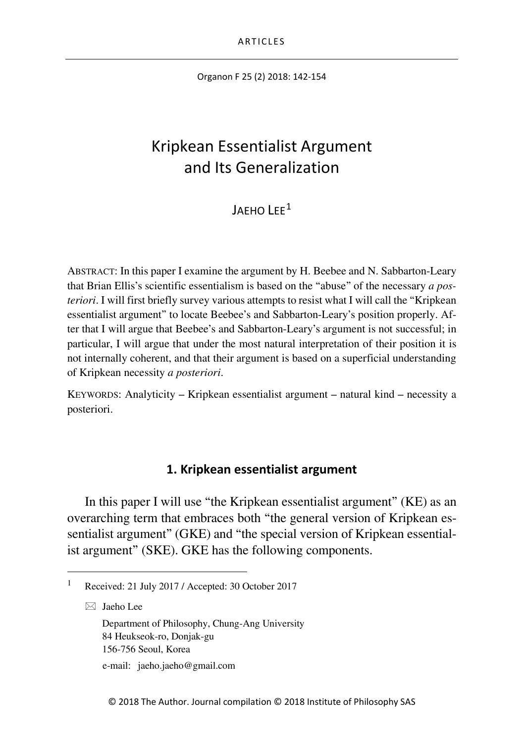Organon F 25 (2) 2018: 142-154

# Kripkean Essentialist Argument and Its Generalization

 $I$ AFHO  $I$  FF<sup>[1](#page-0-0)</sup>

ABSTRACT: In this paper I examine the argument by H. Beebee and N. Sabbarton-Leary that Brian Ellis's scientific essentialism is based on the "abuse" of the necessary *a posteriori*. I will first briefly survey various attempts to resist what I will call the "Kripkean" essentialist argument" to locate Beebee's and Sabbarton-Leary's position properly. After that I will argue that Beebee's and Sabbarton-Leary's argument is not successful; in particular, I will argue that under the most natural interpretation of their position it is not internally coherent, and that their argument is based on a superficial understanding of Kripkean necessity *a posteriori*.

KEYWORDS: Analyticity – Kripkean essentialist argument – natural kind – necessity a posteriori.

### **1. Kripkean essentialist argument**

In this paper I will use "the Kripkean essentialist argument" (KE) as an overarching term that embraces both "the general version of Kripkean essentialist argument" (GKE) and "the special version of Kripkean essentialist argument" (SKE). GKE has the following components.

 $\boxtimes$  Jaeho Lee

Department of Philosophy, Chung-Ang University 84 Heukseok-ro, Donjak-gu 156-756 Seoul, Korea

e-mail: jaeho.jaeho@gmail.com

<span id="page-0-0"></span> <sup>1</sup> Received: 21 July 2017 / Accepted: 30 October 2017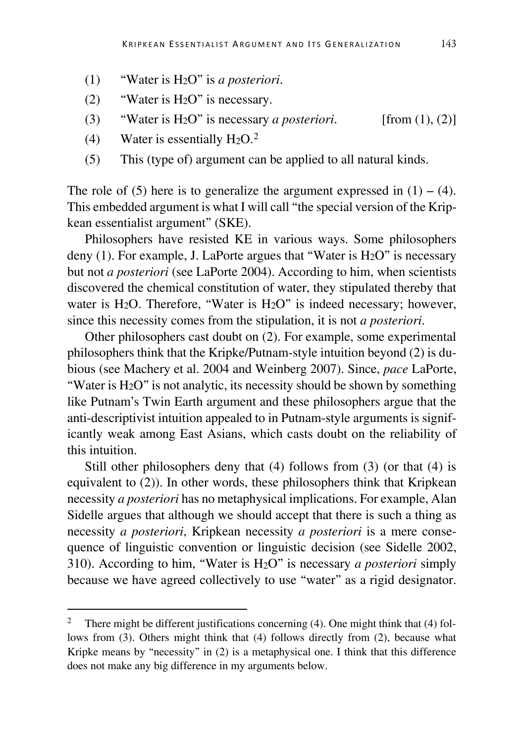- (1) "Water is H2O" is *a posteriori*.
- (2) "Water is H2O" is necessary.
- (3) "Water is H2O" is necessary *a posteriori*. [from (1), (2)]
- (4) Water is essentially  $H_2O<sup>2</sup>$  $H_2O<sup>2</sup>$  $H_2O<sup>2</sup>$
- (5) This (type of) argument can be applied to all natural kinds.

The role of (5) here is to generalize the argument expressed in  $(1) - (4)$ . This embedded argument is what I will call "the special version of the Kripkean essentialist argument" (SKE).

Philosophers have resisted KE in various ways. Some philosophers deny  $(1)$ . For example, J. LaPorte argues that "Water is H<sub>2</sub>O" is necessary but not *a posteriori* (see LaPorte 2004). According to him, when scientists discovered the chemical constitution of water, they stipulated thereby that water is H<sub>2</sub>O. Therefore, "Water is H<sub>2</sub>O" is indeed necessary; however, since this necessity comes from the stipulation, it is not *a posteriori*.

Other philosophers cast doubt on (2). For example, some experimental philosophers think that the Kripke/Putnam-style intuition beyond (2) is dubious (see Machery et al. 2004 and Weinberg 2007). Since, *pace* LaPorte, "Water is H2O" is not analytic, its necessity should be shown by something like Putnam's Twin Earth argument and these philosophers argue that the anti-descriptivist intuition appealed to in Putnam-style arguments is significantly weak among East Asians, which casts doubt on the reliability of this intuition.

Still other philosophers deny that (4) follows from (3) (or that (4) is equivalent to (2)). In other words, these philosophers think that Kripkean necessity *a posteriori* has no metaphysical implications. For example, Alan Sidelle argues that although we should accept that there is such a thing as necessity *a posteriori*, Kripkean necessity *a posteriori* is a mere consequence of linguistic convention or linguistic decision (see Sidelle 2002, 310). According to him, "Water is H2O" is necessary *a posteriori* simply because we have agreed collectively to use "water" as a rigid designator.

<span id="page-1-0"></span><sup>&</sup>lt;sup>2</sup> There might be different justifications concerning (4). One might think that (4) follows from (3). Others might think that (4) follows directly from (2), because what Kripke means by "necessity" in (2) is a metaphysical one. I think that this difference does not make any big difference in my arguments below.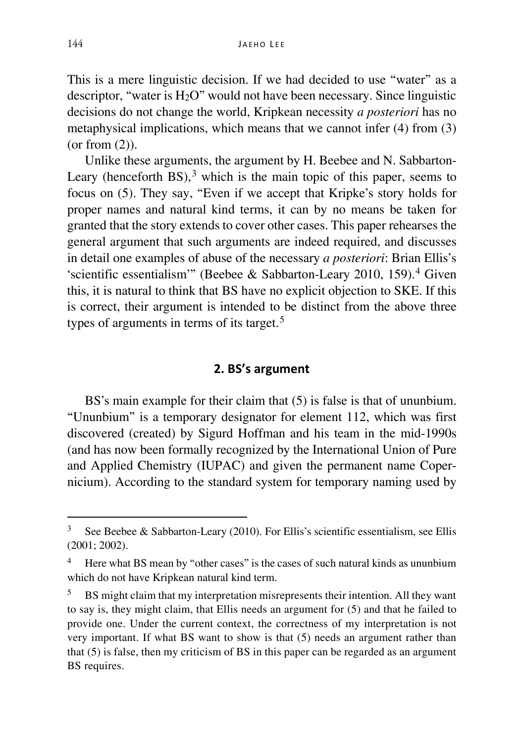This is a mere linguistic decision. If we had decided to use "water" as a descriptor, "water is H2O" would not have been necessary. Since linguistic decisions do not change the world, Kripkean necessity *a posteriori* has no metaphysical implications, which means that we cannot infer (4) from (3) (or from (2)).

Unlike these arguments, the argument by H. Beebee and N. Sabbarton-Leary (henceforth  $BS<sub>1</sub>$ <sup>[3](#page-2-0)</sup> which is the main topic of this paper, seems to focus on (5). They say, "Even if we accept that Kripke's story holds for proper names and natural kind terms, it can by no means be taken for granted that the story extends to cover other cases. This paper rehearses the general argument that such arguments are indeed required, and discusses in detail one examples of abuse of the necessary *a posteriori*: Brian Ellis's 'scientific essentialism'" (Beebee & Sabbarton-Leary 2010, 159).[4](#page-2-1) Given this, it is natural to think that BS have no explicit objection to SKE. If this is correct, their argument is intended to be distinct from the above three types of arguments in terms of its target.<sup>[5](#page-2-2)</sup>

#### **2. BS's argument**

BS's main example for their claim that (5) is false is that of ununbium. "Ununbium" is a temporary designator for element 112, which was first discovered (created) by Sigurd Hoffman and his team in the mid-1990s (and has now been formally recognized by the International Union of Pure and Applied Chemistry (IUPAC) and given the permanent name Copernicium). According to the standard system for temporary naming used by

<span id="page-2-0"></span><sup>&</sup>lt;sup>3</sup> See Beebee & Sabbarton-Leary (2010). For Ellis's scientific essentialism, see Ellis (2001; 2002).

<span id="page-2-1"></span><sup>&</sup>lt;sup>4</sup> Here what BS mean by "other cases" is the cases of such natural kinds as ununbium which do not have Kripkean natural kind term.

<span id="page-2-2"></span><sup>&</sup>lt;sup>5</sup> BS might claim that my interpretation misrepresents their intention. All they want to say is, they might claim, that Ellis needs an argument for (5) and that he failed to provide one. Under the current context, the correctness of my interpretation is not very important. If what BS want to show is that (5) needs an argument rather than that (5) is false, then my criticism of BS in this paper can be regarded as an argument BS requires.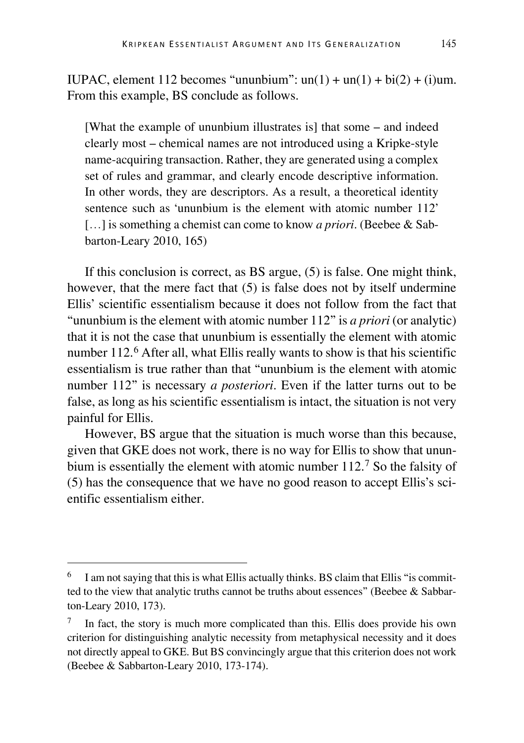IUPAC, element 112 becomes "ununbium":  $un(1) + un(1) + bi(2) + (i)$ um. From this example, BS conclude as follows.

[What the example of ununbium illustrates is] that some – and indeed clearly most – chemical names are not introduced using a Kripke-style name-acquiring transaction. Rather, they are generated using a complex set of rules and grammar, and clearly encode descriptive information. In other words, they are descriptors. As a result, a theoretical identity sentence such as 'ununbium is the element with atomic number 112' [...] is something a chemist can come to know *a priori*. (Beebee & Sabbarton-Leary 2010, 165)

If this conclusion is correct, as BS argue, (5) is false. One might think, however, that the mere fact that (5) is false does not by itself undermine Ellis' scientific essentialism because it does not follow from the fact that "ununbium is the element with atomic number 112" is *a priori* (or analytic) that it is not the case that ununbium is essentially the element with atomic number 112.<sup>[6](#page-3-0)</sup> After all, what Ellis really wants to show is that his scientific essentialism is true rather than that "ununbium is the element with atomic number 112" is necessary *a posteriori*. Even if the latter turns out to be false, as long as his scientific essentialism is intact, the situation is not very painful for Ellis.

However, BS argue that the situation is much worse than this because, given that GKE does not work, there is no way for Ellis to show that ununbium is essentially the element with atomic number 112.[7](#page-3-1) So the falsity of (5) has the consequence that we have no good reason to accept Ellis's scientific essentialism either.

<span id="page-3-0"></span>I am not saying that this is what Ellis actually thinks. BS claim that Ellis "is committed to the view that analytic truths cannot be truths about essences" (Beebee & Sabbarton-Leary 2010, 173).

<span id="page-3-1"></span> $7\;\;$  In fact, the story is much more complicated than this. Ellis does provide his own criterion for distinguishing analytic necessity from metaphysical necessity and it does not directly appeal to GKE. But BS convincingly argue that this criterion does not work (Beebee & Sabbarton-Leary 2010, 173-174).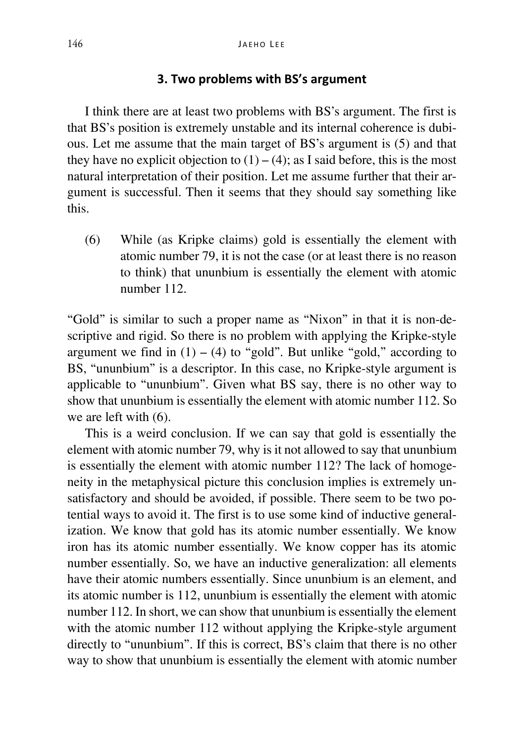#### **3. Two problems with BS's argument**

I think there are at least two problems with BS's argument. The first is that BS's position is extremely unstable and its internal coherence is dubious. Let me assume that the main target of BS's argument is (5) and that they have no explicit objection to  $(1) - (4)$ ; as I said before, this is the most natural interpretation of their position. Let me assume further that their argument is successful. Then it seems that they should say something like this.

(6) While (as Kripke claims) gold is essentially the element with atomic number 79, it is not the case (or at least there is no reason to think) that ununbium is essentially the element with atomic number 112.

"Gold" is similar to such a proper name as "Nixon" in that it is non-descriptive and rigid. So there is no problem with applying the Kripke-style argument we find in  $(1) - (4)$  to "gold". But unlike "gold," according to BS, "ununbium" is a descriptor. In this case, no Kripke-style argument is applicable to "ununbium". Given what BS say, there is no other way to show that ununbium is essentially the element with atomic number 112. So we are left with (6).

This is a weird conclusion. If we can say that gold is essentially the element with atomic number 79, why is it not allowed to say that ununbium is essentially the element with atomic number 112? The lack of homogeneity in the metaphysical picture this conclusion implies is extremely unsatisfactory and should be avoided, if possible. There seem to be two potential ways to avoid it. The first is to use some kind of inductive generalization. We know that gold has its atomic number essentially. We know iron has its atomic number essentially. We know copper has its atomic number essentially. So, we have an inductive generalization: all elements have their atomic numbers essentially. Since ununbium is an element, and its atomic number is 112, ununbium is essentially the element with atomic number 112. In short, we can show that ununbium is essentially the element with the atomic number 112 without applying the Kripke-style argument directly to "ununbium". If this is correct, BS's claim that there is no other way to show that ununbium is essentially the element with atomic number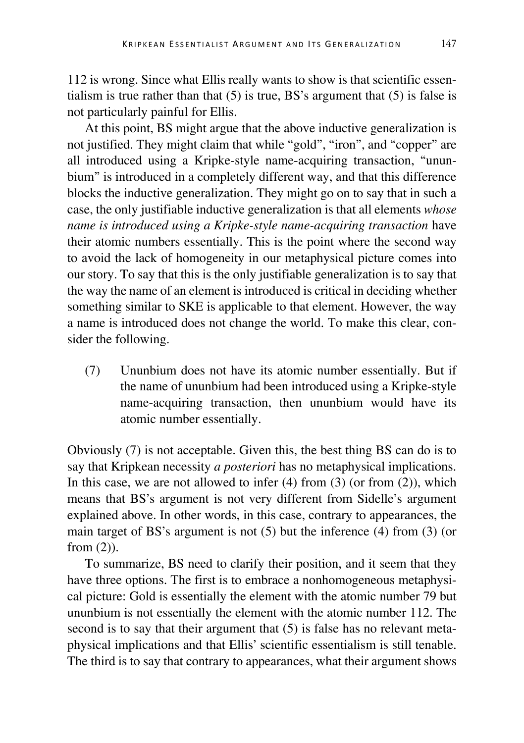112 is wrong. Since what Ellis really wants to show is that scientific essentialism is true rather than that  $(5)$  is true, BS's argument that  $(5)$  is false is not particularly painful for Ellis.

At this point, BS might argue that the above inductive generalization is not justified. They might claim that while "gold", "iron", and "copper" are all introduced using a Kripke-style name-acquiring transaction, "ununbium" is introduced in a completely different way, and that this difference blocks the inductive generalization. They might go on to say that in such a case, the only justifiable inductive generalization is that all elements *whose name is introduced using a Kripke-style name-acquiring transaction* have their atomic numbers essentially. This is the point where the second way to avoid the lack of homogeneity in our metaphysical picture comes into our story. To say that this is the only justifiable generalization is to say that the way the name of an element is introduced is critical in deciding whether something similar to SKE is applicable to that element. However, the way a name is introduced does not change the world. To make this clear, consider the following.

(7) Ununbium does not have its atomic number essentially. But if the name of ununbium had been introduced using a Kripke-style name-acquiring transaction, then ununbium would have its atomic number essentially.

Obviously (7) is not acceptable. Given this, the best thing BS can do is to say that Kripkean necessity *a posteriori* has no metaphysical implications. In this case, we are not allowed to infer  $(4)$  from  $(3)$  (or from  $(2)$ ), which means that BS's argument is not very different from Sidelle's argument explained above. In other words, in this case, contrary to appearances, the main target of BS's argument is not (5) but the inference (4) from (3) (or from  $(2)$ ).

To summarize, BS need to clarify their position, and it seem that they have three options. The first is to embrace a nonhomogeneous metaphysical picture: Gold is essentially the element with the atomic number 79 but ununbium is not essentially the element with the atomic number 112. The second is to say that their argument that (5) is false has no relevant metaphysical implications and that Ellis' scientific essentialism is still tenable. The third is to say that contrary to appearances, what their argument shows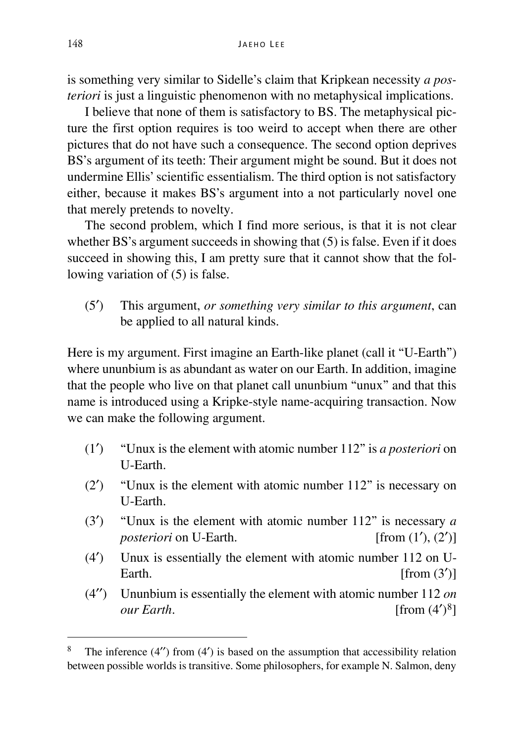is something very similar to Sidelle's claim that Kripkean necessity *a posteriori* is just a linguistic phenomenon with no metaphysical implications.

I believe that none of them is satisfactory to BS. The metaphysical picture the first option requires is too weird to accept when there are other pictures that do not have such a consequence. The second option deprives BS's argument of its teeth: Their argument might be sound. But it does not undermine Ellis' scientific essentialism. The third option is not satisfactory either, because it makes BS's argument into a not particularly novel one that merely pretends to novelty.

The second problem, which I find more serious, is that it is not clear whether BS's argument succeeds in showing that  $(5)$  is false. Even if it does succeed in showing this, I am pretty sure that it cannot show that the following variation of (5) is false.

(5′) This argument, *or something very similar to this argument*, can be applied to all natural kinds.

Here is my argument. First imagine an Earth-like planet (call it "U-Earth") where ununbium is as abundant as water on our Earth. In addition, imagine that the people who live on that planet call ununbium "unux" and that this name is introduced using a Kripke-style name-acquiring transaction. Now we can make the following argument.

- (1′) "Unux is the element with atomic number 112" is *a posteriori* on U-Earth.
- (2′) "Unux is the element with atomic number 112" is necessary on U-Earth.
- (3<sup>'</sup>) "Unux is the element with atomic number 112" is necessary *a posteriori* on U-Earth. [from  $(1')$ ,  $(2')$ ] *posteriori* on U-Earth.
- (4′) Unux is essentially the element with atomic number 112 on U-Earth.  $\lceil \text{from } (3') \rceil$
- (4′′) Ununbium is essentially the element with atomic number 112 *on our Earth*. [from (4<sup>′)[8](#page-6-0)</sup>]

<span id="page-6-0"></span><sup>&</sup>lt;sup>8</sup> The inference (4") from (4") is based on the assumption that accessibility relation between possible worlds is transitive. Some philosophers, for example N. Salmon, deny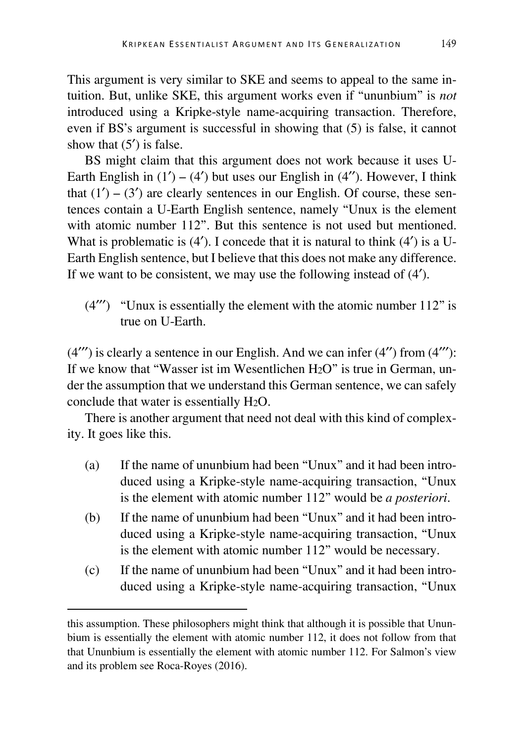This argument is very similar to SKE and seems to appeal to the same intuition. But, unlike SKE, this argument works even if "ununbium" is *not* introduced using a Kripke-style name-acquiring transaction. Therefore, even if BS's argument is successful in showing that (5) is false, it cannot show that  $(5')$  is false.

BS might claim that this argument does not work because it uses U-Earth English in  $(1') - (4')$  but uses our English in  $(4'')$ . However, I think that  $(1') - (3')$  are clearly sentences in our English. Of course, these sentences contain a U-Earth English sentence, namely "Unux is the element with atomic number 112". But this sentence is not used but mentioned. What is problematic is  $(4')$ . I concede that it is natural to think  $(4')$  is a U-Earth English sentence, but I believe that this does not make any difference. If we want to be consistent, we may use the following instead of (4′).

 $(4'')$  "Unux is essentially the element with the atomic number 112" is true on U-Earth.

 $(4''')$  is clearly a sentence in our English. And we can infer  $(4'')$  from  $(4''')$ : If we know that "Wasser ist im Wesentlichen H2O" is true in German, under the assumption that we understand this German sentence, we can safely conclude that water is essentially H2O.

There is another argument that need not deal with this kind of complexity. It goes like this.

- (a) If the name of ununbium had been "Unux" and it had been introduced using a Kripke-style name-acquiring transaction, "Unux is the element with atomic number 112" would be *a posteriori*.
- (b) If the name of ununbium had been "Unux" and it had been introduced using a Kripke-style name-acquiring transaction, "Unux is the element with atomic number 112" would be necessary.
- (c) If the name of ununbium had been "Unux" and it had been introduced using a Kripke-style name-acquiring transaction, "Unux

this assumption. These philosophers might think that although it is possible that Ununbium is essentially the element with atomic number 112, it does not follow from that that Ununbium is essentially the element with atomic number 112. For Salmon's view and its problem see Roca-Royes (2016).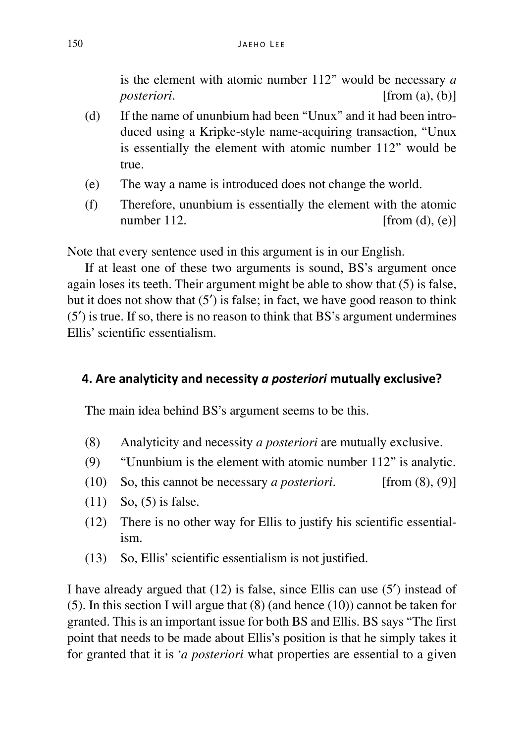is the element with atomic number 112" would be necessary *a posteriori*. [from (a), (b)]

- (d) If the name of ununbium had been "Unux" and it had been introduced using a Kripke-style name-acquiring transaction, "Unux is essentially the element with atomic number 112" would be true.
- (e) The way a name is introduced does not change the world.
- (f) Therefore, ununbium is essentially the element with the atomic number 112.  $\lceil \text{from (d), (e)} \rceil$

Note that every sentence used in this argument is in our English.

If at least one of these two arguments is sound, BS's argument once again loses its teeth. Their argument might be able to show that (5) is false, but it does not show that (5′) is false; in fact, we have good reason to think (5′) is true. If so, there is no reason to think that BS's argument undermines Ellis' scientific essentialism.

# **4. Are analyticity and necessity** *a posteriori* **mutually exclusive?**

The main idea behind BS's argument seems to be this.

- (8) Analyticity and necessity *a posteriori* are mutually exclusive.
- (9) "Ununbium is the element with atomic number 112" is analytic.
- (10) So, this cannot be necessary *a posteriori*. [from (8), (9)]
- (11) So, (5) is false.
- (12) There is no other way for Ellis to justify his scientific essentialism.
- (13) So, Ellis' scientific essentialism is not justified.

I have already argued that (12) is false, since Ellis can use (5′) instead of (5). In this section I will argue that (8) (and hence (10)) cannot be taken for granted. This is an important issue for both BS and Ellis. BS says "The first point that needs to be made about Ellis's position is that he simply takes it for granted that it is '*a posteriori* what properties are essential to a given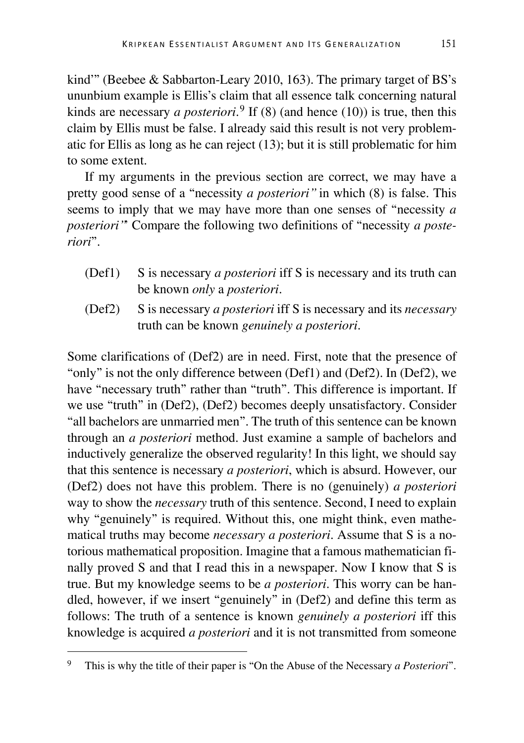kind'" (Beebee & Sabbarton-Leary 2010, 163). The primary target of BS's ununbium example is Ellis's claim that all essence talk concerning natural kinds are necessary *a posteriori*. [9](#page-9-0) If (8) (and hence (10)) is true, then this claim by Ellis must be false. I already said this result is not very problematic for Ellis as long as he can reject (13); but it is still problematic for him to some extent.

If my arguments in the previous section are correct, we may have a pretty good sense of a "necessity *a posteriori"* in which (8) is false. This seems to imply that we may have more than one senses of "necessity *a posteriori"*' Compare the following two definitions of "necessity *a posteriori*".

- (Def1) S is necessary *a posteriori* iff S is necessary and its truth can be known *only* a *posteriori*.
- (Def2) S is necessary *a posteriori* iff S is necessary and its *necessary* truth can be known *genuinely a posteriori*.

Some clarifications of (Def2) are in need. First, note that the presence of "only" is not the only difference between (Def1) and (Def2). In (Def2), we have "necessary truth" rather than "truth". This difference is important. If we use "truth" in (Def2), (Def2) becomes deeply unsatisfactory. Consider "all bachelors are unmarried men". The truth of this sentence can be known through an *a posteriori* method. Just examine a sample of bachelors and inductively generalize the observed regularity! In this light, we should say that this sentence is necessary *a posteriori*, which is absurd. However, our (Def2) does not have this problem. There is no (genuinely) *a posteriori* way to show the *necessary* truth of this sentence. Second, I need to explain why "genuinely" is required. Without this, one might think, even mathematical truths may become *necessary a posteriori*. Assume that S is a notorious mathematical proposition. Imagine that a famous mathematician finally proved S and that I read this in a newspaper. Now I know that S is true. But my knowledge seems to be *a posteriori*. This worry can be handled, however, if we insert "genuinely" in (Def2) and define this term as follows: The truth of a sentence is known *genuinely a posteriori* iff this knowledge is acquired *a posteriori* and it is not transmitted from someone

<span id="page-9-0"></span> <sup>9</sup> This is why the title of their paper is "On the Abuse of the Necessary *a Posteriori*".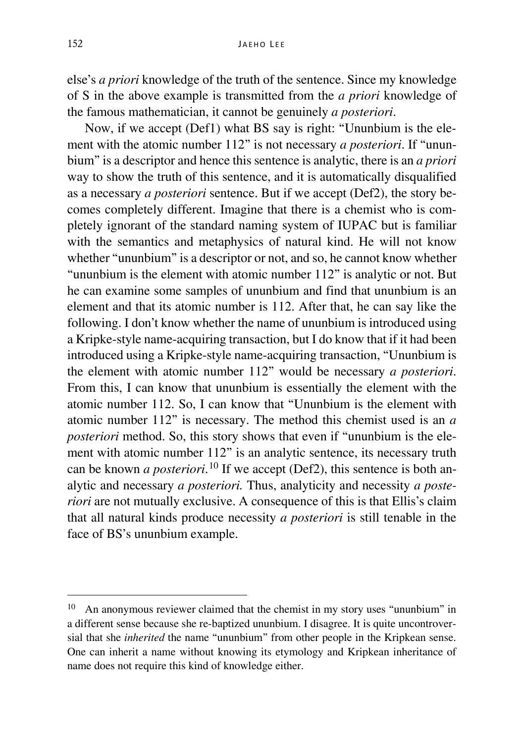else's *a priori* knowledge of the truth of the sentence. Since my knowledge of S in the above example is transmitted from the *a priori* knowledge of the famous mathematician, it cannot be genuinely *a posteriori*.

Now, if we accept (Def1) what BS say is right: "Ununbium is the element with the atomic number 112" is not necessary *a posteriori*. If "ununbium" is a descriptor and hence this sentence is analytic, there is an *a priori* way to show the truth of this sentence, and it is automatically disqualified as a necessary *a posteriori* sentence. But if we accept (Def2), the story becomes completely different. Imagine that there is a chemist who is completely ignorant of the standard naming system of IUPAC but is familiar with the semantics and metaphysics of natural kind. He will not know whether "ununbium" is a descriptor or not, and so, he cannot know whether "ununbium is the element with atomic number 112" is analytic or not. But he can examine some samples of ununbium and find that ununbium is an element and that its atomic number is 112. After that, he can say like the following. I don't know whether the name of ununbium is introduced using a Kripke-style name-acquiring transaction, but I do know that if it had been introduced using a Kripke-style name-acquiring transaction, "Ununbium is the element with atomic number 112" would be necessary *a posteriori*. From this, I can know that ununbium is essentially the element with the atomic number 112. So, I can know that "Ununbium is the element with atomic number 112" is necessary. The method this chemist used is an *a posteriori* method. So, this story shows that even if "ununbium is the element with atomic number 112" is an analytic sentence, its necessary truth can be known *a posteriori*. [10](#page-10-0) If we accept (Def2), this sentence is both analytic and necessary *a posteriori.* Thus, analyticity and necessity *a posteriori* are not mutually exclusive. A consequence of this is that Ellis's claim that all natural kinds produce necessity *a posteriori* is still tenable in the face of BS's ununbium example.

<span id="page-10-0"></span> <sup>10</sup> An anonymous reviewer claimed that the chemist in my story uses "ununbium" in a different sense because she re-baptized ununbium. I disagree. It is quite uncontroversial that she *inherited* the name "ununbium" from other people in the Kripkean sense. One can inherit a name without knowing its etymology and Kripkean inheritance of name does not require this kind of knowledge either.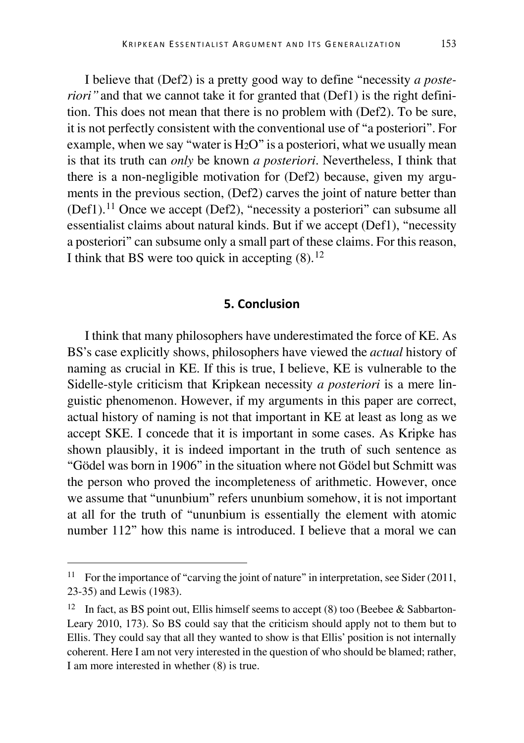I believe that (Def2) is a pretty good way to define "necessity *a posteriori*" and that we cannot take it for granted that (Def1) is the right definition. This does not mean that there is no problem with (Def2). To be sure, it is not perfectly consistent with the conventional use of "a posteriori". For example, when we say "water is  $H<sub>2</sub>O$ " is a posteriori, what we usually mean is that its truth can *only* be known *a posteriori*. Nevertheless, I think that there is a non-negligible motivation for (Def2) because, given my arguments in the previous section, (Def2) carves the joint of nature better than (Def1).[11](#page-11-0) Once we accept (Def2), "necessity a posteriori" can subsume all essentialist claims about natural kinds. But if we accept (Def1), "necessity a posteriori" can subsume only a small part of these claims. For this reason, I think that BS were too quick in accepting  $(8)$ .<sup>[12](#page-11-1)</sup>

## **5. Conclusion**

I think that many philosophers have underestimated the force of KE. As BS's case explicitly shows, philosophers have viewed the *actual* history of naming as crucial in KE. If this is true, I believe, KE is vulnerable to the Sidelle-style criticism that Kripkean necessity *a posteriori* is a mere linguistic phenomenon. However, if my arguments in this paper are correct, actual history of naming is not that important in KE at least as long as we accept SKE. I concede that it is important in some cases. As Kripke has shown plausibly, it is indeed important in the truth of such sentence as "Gödel was born in 1906" in the situation where not Gödel but Schmitt was the person who proved the incompleteness of arithmetic. However, once we assume that "ununbium" refers ununbium somehow, it is not important at all for the truth of "ununbium is essentially the element with atomic number 112" how this name is introduced. I believe that a moral we can

<span id="page-11-0"></span><sup>&</sup>lt;sup>11</sup> For the importance of "carving the joint of nature" in interpretation, see Sider (2011, 23-35) and Lewis (1983).

<span id="page-11-1"></span><sup>&</sup>lt;sup>12</sup> In fact, as BS point out, Ellis himself seems to accept (8) too (Beebee & Sabbarton-Leary 2010, 173). So BS could say that the criticism should apply not to them but to Ellis. They could say that all they wanted to show is that Ellis' position is not internally coherent. Here I am not very interested in the question of who should be blamed; rather, I am more interested in whether (8) is true.